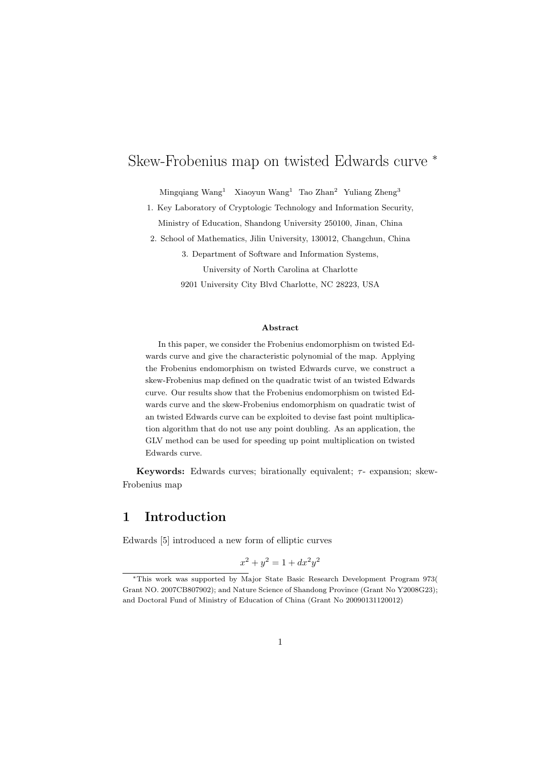# Skew-Frobenius map on twisted Edwards curve <sup>∗</sup>

Mingqiang Wang<sup>1</sup> Xiaoyun Wang<sup>1</sup> Tao Zhan<sup>2</sup> Yuliang Zheng<sup>3</sup>

1. Key Laboratory of Cryptologic Technology and Information Security, Ministry of Education, Shandong University 250100, Jinan, China

2. School of Mathematics, Jilin University, 130012, Changchun, China

3. Department of Software and Information Systems,

University of North Carolina at Charlotte

9201 University City Blvd Charlotte, NC 28223, USA

#### Abstract

In this paper, we consider the Frobenius endomorphism on twisted Edwards curve and give the characteristic polynomial of the map. Applying the Frobenius endomorphism on twisted Edwards curve, we construct a skew-Frobenius map defined on the quadratic twist of an twisted Edwards curve. Our results show that the Frobenius endomorphism on twisted Edwards curve and the skew-Frobenius endomorphism on quadratic twist of an twisted Edwards curve can be exploited to devise fast point multiplication algorithm that do not use any point doubling. As an application, the GLV method can be used for speeding up point multiplication on twisted Edwards curve.

**Keywords:** Edwards curves; birationally equivalent;  $\tau$ - expansion; skew-Frobenius map

# 1 Introduction

Edwards [5] introduced a new form of elliptic curves

$$
x^2 + y^2 = 1 + dx^2y^2
$$

<sup>∗</sup>This work was supported by Major State Basic Research Development Program 973( Grant NO. 2007CB807902); and Nature Science of Shandong Province (Grant No Y2008G23); and Doctoral Fund of Ministry of Education of China (Grant No 20090131120012)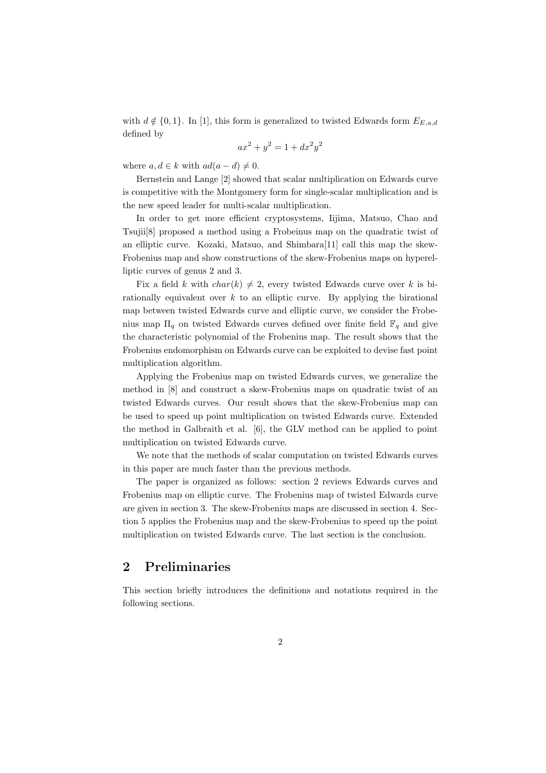with  $d \notin \{0, 1\}$ . In [1], this form is generalized to twisted Edwards form  $E_{E,a,d}$ defined by

$$
ax^2 + y^2 = 1 + dx^2y^2
$$

where  $a, d \in k$  with  $ad(a-d) \neq 0$ .

Bernstein and Lange [2] showed that scalar multiplication on Edwards curve is competitive with the Montgomery form for single-scalar multiplication and is the new speed leader for multi-scalar multiplication.

In order to get more efficient cryptosystems, Iijima, Matsuo, Chao and Tsujii[8] proposed a method using a Frobeinus map on the quadratic twist of an elliptic curve. Kozaki, Matsuo, and Shimbara[11] call this map the skew-Frobenius map and show constructions of the skew-Frobenius maps on hyperelliptic curves of genus 2 and 3.

Fix a field k with  $char(k) \neq 2$ , every twisted Edwards curve over k is birationally equivalent over  $k$  to an elliptic curve. By applying the birational map between twisted Edwards curve and elliptic curve, we consider the Frobenius map  $\Pi_q$  on twisted Edwards curves defined over finite field  $\mathbb{F}_q$  and give the characteristic polynomial of the Frobenius map. The result shows that the Frobenius endomorphism on Edwards curve can be exploited to devise fast point multiplication algorithm.

Applying the Frobenius map on twisted Edwards curves, we generalize the method in [8] and construct a skew-Frobenius maps on quadratic twist of an twisted Edwards curves. Our result shows that the skew-Frobenius map can be used to speed up point multiplication on twisted Edwards curve. Extended the method in Galbraith et al. [6], the GLV method can be applied to point multiplication on twisted Edwards curve.

We note that the methods of scalar computation on twisted Edwards curves in this paper are much faster than the previous methods.

The paper is organized as follows: section 2 reviews Edwards curves and Frobenius map on elliptic curve. The Frobenius map of twisted Edwards curve are given in section 3. The skew-Frobenius maps are discussed in section 4. Section 5 applies the Frobenius map and the skew-Frobenius to speed up the point multiplication on twisted Edwards curve. The last section is the conclusion.

# 2 Preliminaries

This section briefly introduces the definitions and notations required in the following sections.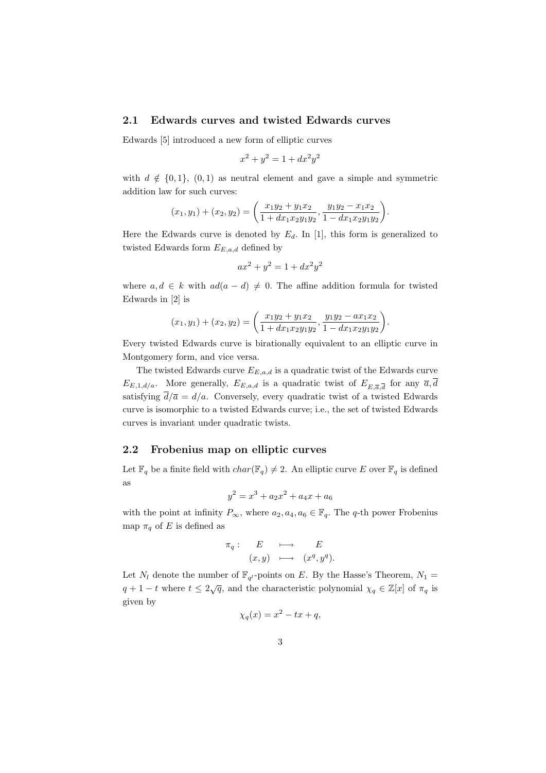#### 2.1 Edwards curves and twisted Edwards curves

Edwards [5] introduced a new form of elliptic curves

$$
x^2 + y^2 = 1 + dx^2 y^2
$$

with  $d \notin \{0, 1\}$ ,  $(0, 1)$  as neutral element and gave a simple and symmetric addition law for such curves:

$$
(x_1, y_1) + (x_2, y_2) = \left(\frac{x_1y_2 + y_1x_2}{1 + dx_1x_2y_1y_2}, \frac{y_1y_2 - x_1x_2}{1 - dx_1x_2y_1y_2}\right).
$$

Here the Edwards curve is denoted by  $E_d$ . In [1], this form is generalized to twisted Edwards form  $E_{E,a,d}$  defined by

$$
ax^2 + y^2 = 1 + dx^2y^2
$$

where  $a, d \in k$  with  $ad(a - d) \neq 0$ . The affine addition formula for twisted Edwards in [2] is

$$
(x_1, y_1) + (x_2, y_2) = \left(\frac{x_1y_2 + y_1x_2}{1 + dx_1x_2y_1y_2}, \frac{y_1y_2 - ax_1x_2}{1 - dx_1x_2y_1y_2}\right).
$$

Every twisted Edwards curve is birationally equivalent to an elliptic curve in Montgomery form, and vice versa.

The twisted Edwards curve  $E_{E,a,d}$  is a quadratic twist of the Edwards curve  $E_{E,1,d/a}$ . More generally,  $E_{E,a,d}$  is a quadratic twist of  $E_{E,\overline{a},\overline{d}}$  for any  $\overline{a},d$ satisfying  $\overline{d}/\overline{a} = d/a$ . Conversely, every quadratic twist of a twisted Edwards curve is isomorphic to a twisted Edwards curve; i.e., the set of twisted Edwards curves is invariant under quadratic twists.

### 2.2 Frobenius map on elliptic curves

Let  $\mathbb{F}_q$  be a finite field with  $char(\mathbb{F}_q) \neq 2$ . An elliptic curve E over  $\mathbb{F}_q$  is defined as

$$
y^2 = x^3 + a_2 x^2 + a_4 x + a_6
$$

with the point at infinity  $P_{\infty}$ , where  $a_2, a_4, a_6 \in \mathbb{F}_q$ . The q-th power Frobenius map  $\pi_q$  of E is defined as

$$
\begin{array}{rcl}\n\pi_q: & E & \longmapsto & E \\
(x, y) & \longmapsto & (x^q, y^q).\n\end{array}
$$

Let  $N_l$  denote the number of  $\mathbb{F}_{q^l}$ -points on E. By the Hasse's Theorem,  $N_1 =$  $q + 1 - t$  where  $t \leq 2\sqrt{q}$ , and the characteristic polynomial  $\chi_q \in \mathbb{Z}[x]$  of  $\pi_q$  is given by

$$
\chi_q(x) = x^2 - tx + q,
$$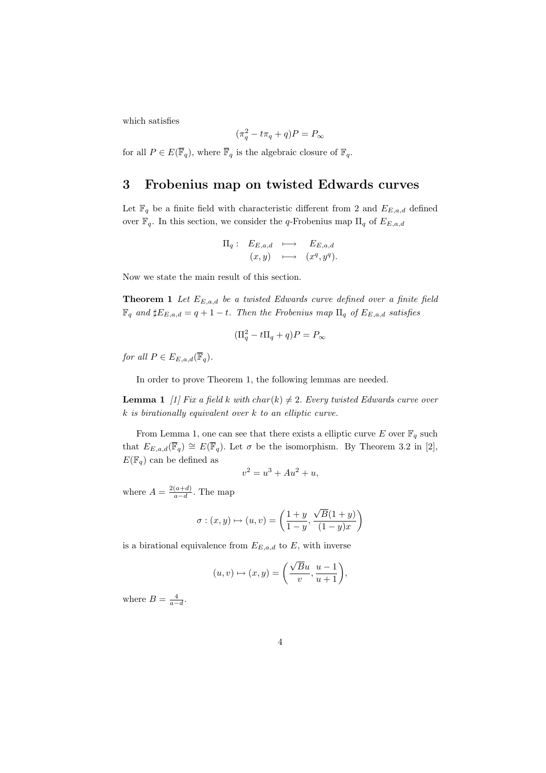which satisfies

$$
(\pi_q^2 - t\pi_q + q)P = P_{\infty}
$$

for all  $P \in E(\overline{\mathbb{F}}_q)$ , where  $\overline{\mathbb{F}}_q$  is the algebraic closure of  $\mathbb{F}_q$ .

### 3 Frobenius map on twisted Edwards curves

Let  $\mathbb{F}_q$  be a finite field with characteristic different from 2 and  $E_{E,a,d}$  defined over  $\mathbb{F}_q$ . In this section, we consider the q-Frobenius map  $\Pi_q$  of  $E_{E,a,d}$ 

$$
\Pi_q: E_{E,a,d} \longmapsto E_{E,a,d}
$$
  

$$
(x,y) \longmapsto (x^q, y^q).
$$

Now we state the main result of this section.

**Theorem 1** Let  $E_{E,a,d}$  be a twisted Edwards curve defined over a finite field  $\mathbb{F}_q$  and  $\sharp E_{E,a,d} = q + 1 - t$ . Then the Frobenius map  $\Pi_q$  of  $E_{E,a,d}$  satisfies

$$
(\Pi_q^2 - t\Pi_q + q)P = P_{\infty}
$$

for all  $P \in E_{E,a,d}(\overline{\mathbb{F}}_q)$ .

In order to prove Theorem 1, the following lemmas are needed.

**Lemma 1** [1] Fix a field k with char(k)  $\neq$  2. Every twisted Edwards curve over k is birationally equivalent over k to an elliptic curve.

From Lemma 1, one can see that there exists a elliptic curve E over  $\mathbb{F}_q$  such that  $E_{E,a,d}(\overline{\mathbb{F}}_q) \cong E(\overline{\mathbb{F}}_q)$ . Let  $\sigma$  be the isomorphism. By Theorem 3.2 in [2],  $E(\mathbb{F}_q)$  can be defined as

$$
v^2 = u^3 + Au^2 + u,
$$

where  $A = \frac{2(a+d)}{a-d}$  $\frac{(a+d)}{a-d}$ . The map

$$
\sigma : (x, y) \mapsto (u, v) = \left(\frac{1+y}{1-y}, \frac{\sqrt{B}(1+y)}{(1-y)x}\right)
$$

is a birational equivalence from  $E_{E,a,d}$  to E, with inverse

$$
(u, v) \mapsto (x, y) = \left(\frac{\sqrt{B}u}{v}, \frac{u-1}{u+1}\right),\,
$$

where  $B = \frac{4}{a-d}$ .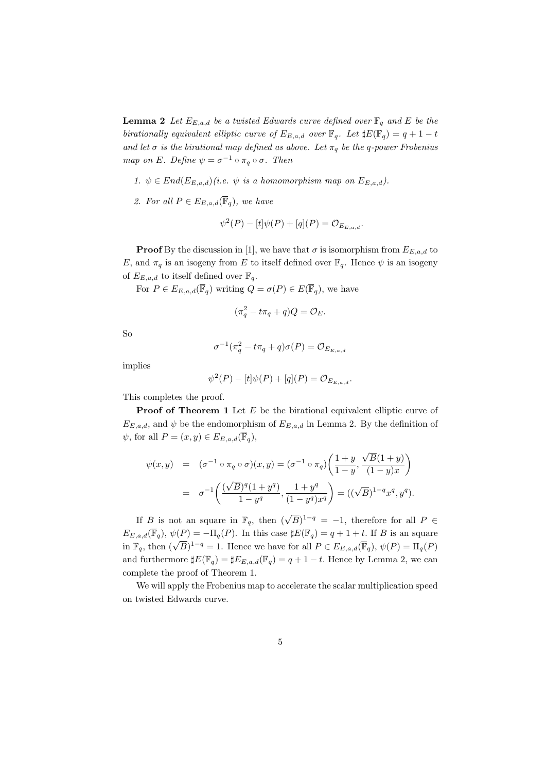**Lemma 2** Let  $E_{E,a,d}$  be a twisted Edwards curve defined over  $\mathbb{F}_q$  and E be the birationally equivalent elliptic curve of  $E_{E,a,d}$  over  $\mathbb{F}_q$ . Let  $\sharp E(\mathbb{F}_q) = q + 1 - t$ and let  $\sigma$  is the birational map defined as above. Let  $\pi_q$  be the q-power Frobenius map on E. Define  $\psi = \sigma^{-1} \circ \pi_q \circ \sigma$ . Then

- 1.  $\psi \in End(E_{E,a,d})(i.e. \psi \text{ is a homomorphism map on } E_{E,a,d}).$
- 2. For all  $P \in E_{E,a,d}(\overline{\mathbb{F}}_q)$ , we have

$$
\psi^{2}(P) - [t]\psi(P) + [q](P) = \mathcal{O}_{E_{E,a,d}}.
$$

**Proof** By the discussion in [1], we have that  $\sigma$  is isomorphism from  $E_{E,a,d}$  to E, and  $\pi_q$  is an isogeny from E to itself defined over  $\mathbb{F}_q$ . Hence  $\psi$  is an isogeny of  $E_{E,a,d}$  to itself defined over  $\mathbb{F}_q$ .

For  $P \in E_{E,a,d}(\overline{\mathbb{F}}_q)$  writing  $Q = \sigma(P) \in E(\overline{\mathbb{F}}_q)$ , we have

$$
(\pi_q^2 - t\pi_q + q)Q = \mathcal{O}_E.
$$

So

$$
\sigma^{-1}(\pi_q^2 - t\pi_q + q)\sigma(P) = \mathcal{O}_{E_{E,a,d}}
$$

implies

$$
\psi^{2}(P) - [t]\psi(P) + [q](P) = \mathcal{O}_{E_{E,a,d}}.
$$

This completes the proof.

**Proof of Theorem 1** Let  $E$  be the birational equivalent elliptic curve of  $E_{E,a,d}$ , and  $\psi$  be the endomorphism of  $E_{E,a,d}$  in Lemma 2. By the definition of  $\psi$ , for all  $P = (x, y) \in E_{E,a,d}(\overline{\mathbb{F}}_q)$ ,

$$
\psi(x,y) = (\sigma^{-1} \circ \pi_q \circ \sigma)(x,y) = (\sigma^{-1} \circ \pi_q) \left( \frac{1+y}{1-y}, \frac{\sqrt{B}(1+y)}{(1-y)x} \right)
$$

$$
= \sigma^{-1} \left( \frac{(\sqrt{B})^q (1+y^q)}{1-y^q}, \frac{1+y^q}{(1-y^q)x^q} \right) = ((\sqrt{B})^{1-q} x^q, y^q).
$$

If B is not an square in  $\mathbb{F}_q$ , then  $(\sqrt{B})^{1-q} = -1$ , therefore for all  $P \in$  $E_{E,a,d}(\overline{\mathbb{F}}_q), \psi(P) = -\Pi_q(P)$ . In this case  $\sharp E(\mathbb{F}_q) = q+1+t$ . If B is an square  $E_{E,a,d}(\mathbb{F}_q), \psi(1) = \Pi_q(1)$ . In this case  $\sharp E(\mathbb{F}_q) = q + 1 + \ell$ . If *B* is an square<br>in  $\mathbb{F}_q$ , then  $(\sqrt{B})^{1-q} = 1$ . Hence we have for all  $P \in E_{E,a,d}(\overline{\mathbb{F}}_q), \psi(P) = \Pi_q(P)$ and furthermore  $\sharp E(\mathbb{F}_q) = \sharp E_{E,a,d}(\mathbb{F}_q) = q + 1 - t$ . Hence by Lemma 2, we can complete the proof of Theorem 1.

We will apply the Frobenius map to accelerate the scalar multiplication speed on twisted Edwards curve.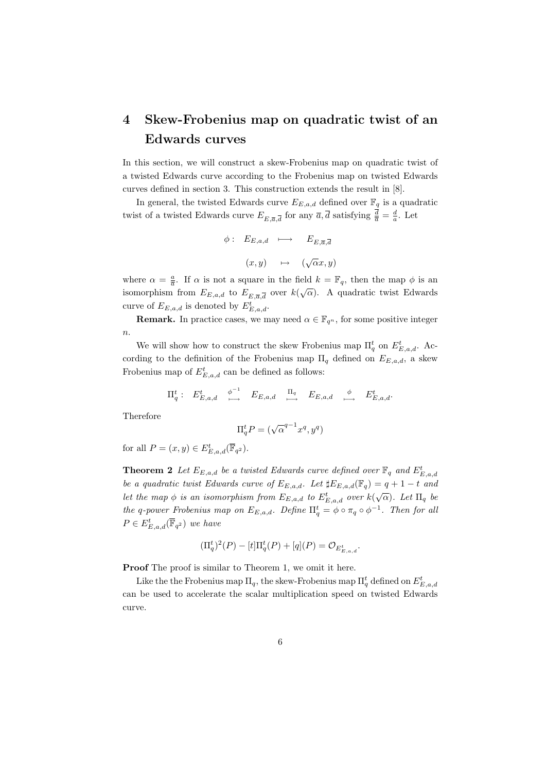# 4 Skew-Frobenius map on quadratic twist of an Edwards curves

In this section, we will construct a skew-Frobenius map on quadratic twist of a twisted Edwards curve according to the Frobenius map on twisted Edwards curves defined in section 3. This construction extends the result in [8].

In general, the twisted Edwards curve  $E_{E,a,d}$  defined over  $\mathbb{F}_q$  is a quadratic twist of a twisted Edwards curve  $E_{E,\overline{a},\overline{d}}$  for any  $\overline{a},\overline{d}$  satisfying  $\frac{d}{\overline{a}}=\frac{d}{a}$ . Let

$$
\phi: E_{E,a,d} \longmapsto E_{E,\overline{a},\overline{d}}
$$

$$
(x,y) \longmapsto (\sqrt{\alpha}x,y)
$$

where  $\alpha = \frac{a}{a}$ . If  $\alpha$  is not a square in the field  $k = \mathbb{F}_q$ , then the map  $\phi$  is an isomorphism from  $E_{E,a,d}$  to  $E_{E,\overline{a},\overline{d}}$  over  $k(\sqrt{\alpha})$ . A quadratic twist Edwards curve of  $E_{E,a,d}$  is denoted by  $E_{E,a,d}^t$ .

**Remark.** In practice cases, we may need  $\alpha \in \mathbb{F}_{q^n}$ , for some positive integer  $n$ .

We will show how to construct the skew Frobenius map  $\Pi_q^t$  on  $E_{E,a,d}^t$ . According to the definition of the Frobenius map  $\Pi_q$  defined on  $E_{E,a,d}$ , a skew Frobenius map of  $E_{E,a,d}^t$  can be defined as follows:

$$
\Pi_q^t: E_{E,a,d}^t \xrightarrow{\phi^{-1}} E_{E,a,d} \xrightarrow{\Pi_q} E_{E,a,d} \xrightarrow{\phi} E_{E,a,d}^t.
$$

Therefore

$$
\Pi_q^t P = (\sqrt{\alpha}^{q-1} x^q, y^q)
$$

for all  $P = (x, y) \in E_{E,a,d}^t(\overline{\mathbb{F}}_{q^2}).$ 

**Theorem 2** Let  $E_{E,a,d}$  be a twisted Edwards curve defined over  $\mathbb{F}_q$  and  $E_{E,a,d}^t$ be a quadratic twist Edwards curve of  $E_{E,a,d}$ . Let  $\sharp E_{E,a,d}(\mathbb{F}_q) = q + 1 - t$  and let the map  $\phi$  is an isomorphism from  $E_{E,a,d}$  to  $E_{E,a,d}^t$  over  $k(\sqrt{\alpha})$ . Let  $\Pi_q$  be the q-power Frobenius map on  $E_{E,a,d}$ . Define  $\Pi_q^t = \phi \circ \pi_q \circ \phi^{-1}$ . Then for all  $P \in E_{E,a,d}^t(\overline{\mathbb{F}}_{q^2})$  we have

$$
(\Pi_q^t)^2(P) - [t]\Pi_q^t(P) + [q](P) = \mathcal{O}_{E_{E,a,d}^t}.
$$

Proof The proof is similar to Theorem 1, we omit it here.

Like the the Frobenius map  $\Pi_q$ , the skew-Frobenius map  $\Pi_q^t$  defined on  $E_{E,a,d}^t$ can be used to accelerate the scalar multiplication speed on twisted Edwards curve.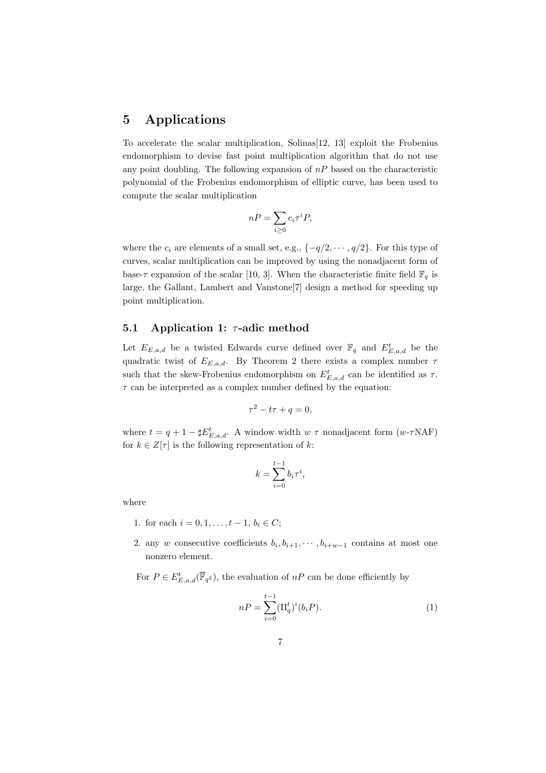# 5 Applications

To accelerate the scalar multiplication, Solinas[12, 13] exploit the Frobenius endomorphism to devise fast point multiplication algorithm that do not use any point doubling. The following expansion of  $nP$  based on the characteristic polynomial of the Frobenius endomorphism of elliptic curve, has been used to compute the scalar multiplication

$$
nP = \sum_{i \ge 0} c_i \tau^i P,
$$

where the  $c_i$  are elements of a small set, e.g.,  $\{-q/2, \dots, q/2\}$ . For this type of curves, scalar multiplication can be improved by using the nonadjacent form of base- $\tau$  expansion of the scalar [10, 3]. When the characteristic finite field  $\mathbb{F}_q$  is large, the Gallant, Lambert and Vanstone[7] design a method for speeding up point multiplication.

### 5.1 Application 1:  $\tau$ -adic method

Let  $E_{E,a,d}$  be a twisted Edwards curve defined over  $\mathbb{F}_q$  and  $E_{E,a,d}^t$  be the quadratic twist of  $E_{E,a,d}$ . By Theorem 2 there exists a complex number  $\tau$ such that the skew-Frobenius endomorphism on  $E_{E,a,d}^t$  can be identified as  $\tau$ .  $\tau$  can be interpreted as a complex number defined by the equation:

$$
\tau^2 - t\tau + q = 0,
$$

where  $t = q + 1 - \sharp E_{E,a,d}^t$ . A window width  $w \tau$  nonadjacent form  $(w \text{-} \tau \text{NAF})$ for  $k \in \mathbb{Z}[\tau]$  is the following representation of k:

$$
k = \sum_{i=0}^{t-1} b_i \tau^i,
$$

where

- 1. for each  $i = 0, 1, \ldots, t 1, b_i \in C$ ;
- 2. any w consecutive coefficients  $b_i, b_{i+1}, \cdots, b_{i+w-1}$  contains at most one nonzero element.

For  $P \in E_{E,a,d}^t(\overline{\mathbb{F}}_{q^2})$ , the evaluation of  $nP$  can be done efficiently by

$$
nP = \sum_{i=0}^{t-1} (\Pi_q^t)^i (b_i P). \tag{1}
$$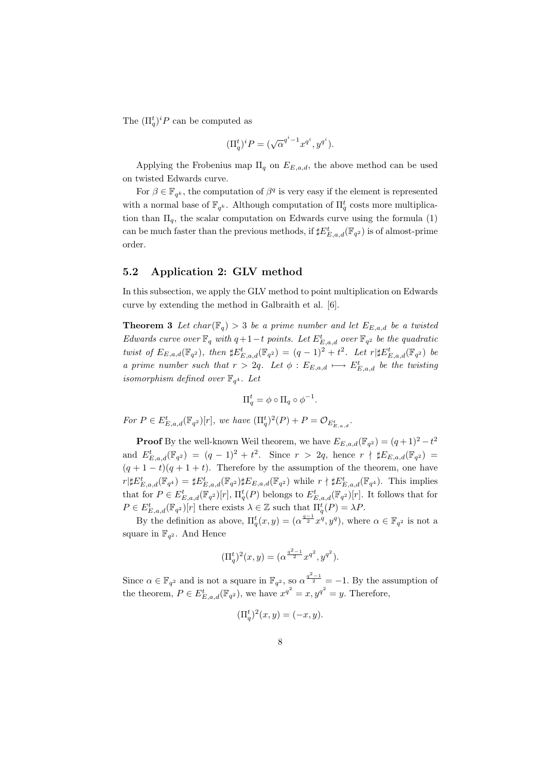The  $(\Pi_q^t)^i P$  can be computed as

$$
(\Pi_q^t)^i P = (\sqrt{\alpha}^{q^i - 1} x^{q^i}, y^{q^i}).
$$

Applying the Frobenius map  $\Pi_q$  on  $E_{E,a,d}$ , the above method can be used on twisted Edwards curve.

For  $\beta \in \mathbb{F}_{q^k}$ , the computation of  $\beta^q$  is very easy if the element is represented with a normal base of  $\mathbb{F}_{q^k}$ . Although computation of  $\Pi_q^t$  costs more multiplication than  $\Pi_q$ , the scalar computation on Edwards curve using the formula (1) can be much faster than the previous methods, if  $\sharp E^t_{E,a,d}(\mathbb{F}_{q^2})$  is of almost-prime order.

### 5.2 Application 2: GLV method

In this subsection, we apply the GLV method to point multiplication on Edwards curve by extending the method in Galbraith et al. [6].

**Theorem 3** Let char( $\mathbb{F}_q$ ) > 3 be a prime number and let  $E_{E,a,d}$  be a twisted Edwards curve over  $\mathbb{F}_q$  with  $q+1-t$  points. Let  $E_{E,a,d}^t$  over  $\mathbb{F}_{q^2}$  be the quadratic twist of  $E_{E,a,d}(\mathbb{F}_{q^2})$ , then  $\sharp E_{E,a,d}^t(\mathbb{F}_{q^2}) = (q-1)^2 + t^2$ . Let  $r | \sharp E_{E,a,d}^t(\mathbb{F}_{q^2})$  be a prime number such that  $r > 2q$ . Let  $\phi : E_{E,a,d} \longmapsto E_{E,a,d}^t$  be the twisting isomorphism defined over  $\mathbb{F}_{q^4}$ . Let

$$
\Pi_q^t = \phi \circ \Pi_q \circ \phi^{-1}.
$$

For  $P \in E_{E,a,d}^t(\mathbb{F}_{q^2})[r]$ , we have  $(\Pi_q^t)^2(P) + P = \mathcal{O}_{E_{E,a,d}^t}$ .

**Proof** By the well-known Weil theorem, we have  $E_{E,a,d}(\mathbb{F}_{q^2}) = (q+1)^2 - t^2$ and  $E_{E,a,d}^t(\mathbb{F}_{q^2}) = (q-1)^2 + t^2$ . Since  $r > 2q$ , hence  $r \nmid \sharp E_{E,a,d}(\mathbb{F}_{q^2}) =$  $(q + 1 - t)(q + 1 + t)$ . Therefore by the assumption of the theorem, one have  $r\|\mathbf{E}_{E,a,d}^t(\mathbb{F}_{q^4}) = \#\mathbf{E}_{E,a,d}^t(\mathbb{F}_{q^2})\|\mathbf{E}_{E,a,d}(\mathbb{F}_{q^2})$  while  $r \nmid \#\mathbf{E}_{E,a,d}^t(\mathbb{F}_{q^4})$ . This implies that for  $P \in E_{E,a,d}^t(\mathbb{F}_{q^2})[r]$ ,  $\Pi_q^t(P)$  belongs to  $E_{E,a,d}^t(\mathbb{F}_{q^2})[r]$ . It follows that for  $P \in E_{E,a,d}^t(\mathbb{F}_{q^2})[r]$  there exists  $\lambda \in \mathbb{Z}$  such that  $\Pi_q^t(P) = \lambda P$ .

By the definition as above,  $\Pi_q^t(x,y) = (\alpha^{\frac{q-1}{2}} x^q, y^q)$ , where  $\alpha \in \mathbb{F}_{q^2}$  is not a square in  $\mathbb{F}_{q^2}$ . And Hence

$$
(\Pi_q^t)^2(x,y) = (\alpha^{\frac{q^2-1}{2}} x^{q^2}, y^{q^2}).
$$

Since  $\alpha \in \mathbb{F}_{q^2}$  and is not a square in  $\mathbb{F}_{q^2}$ , so  $\alpha^{\frac{q^2-1}{2}} = -1$ . By the assumption of the theorem,  $P \in E_{E,a,d}^t(\mathbb{F}_{q^2})$ , we have  $x^{q^2} = x, y^{q^2} = y$ . Therefore,

$$
(\Pi_q^t)^2(x,y) = (-x,y).
$$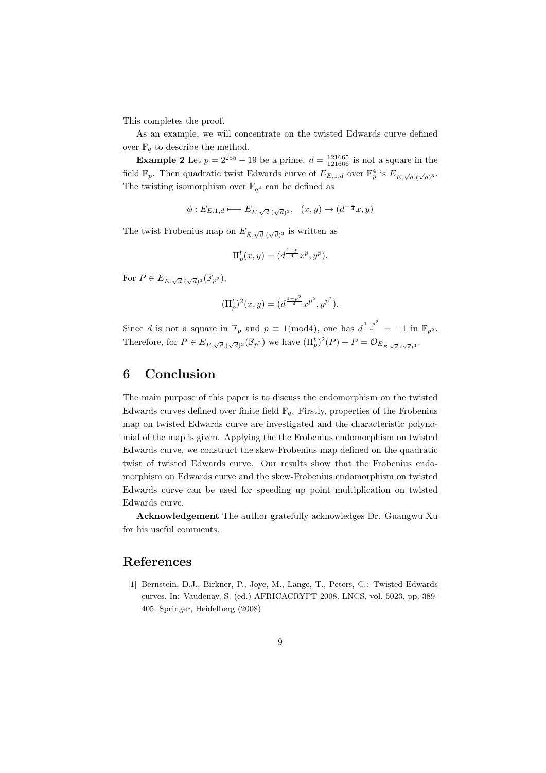This completes the proof.

As an example, we will concentrate on the twisted Edwards curve defined over  $\mathbb{F}_q$  to describe the method.

**Example 2** Let  $p = 2^{255} - 19$  be a prime.  $d = \frac{121665}{121666}$  is not a square in the field  $\mathbb{F}_p$ . Then quadratic twist Edwards curve of  $E_{E,1,d}$  over  $\mathbb{F}_p^4$  is  $E_{E,\sqrt{d},(\sqrt{d})^3}$ . The twisting isomorphism over  $\mathbb{F}_{q^4}$  can be defined as

 $\phi: E_{E,1,d} \longmapsto E_{E,\sqrt{d},(\sqrt{d})^3}, \quad (x,y) \mapsto (d^{-\frac{1}{4}}x, y)$ 

The twist Frobenius map on  $E_{E,\sqrt{d},(\sqrt{d})^3}$  is written as

$$
\Pi_p^t(x, y) = (d^{\frac{1-p}{4}} x^p, y^p).
$$

For  $P \in E_{E,\sqrt{d},(\sqrt{d})^3}(\mathbb{F}_{p^2}),$ 

$$
(\Pi^t_p)^2(x,y) = (d^{\frac{1-p^2}{4}} x^{p^2}, y^{p^2}).
$$

Since d is not a square in  $\mathbb{F}_p$  and  $p \equiv 1 \pmod{4}$ , one has  $d^{\frac{1-p^2}{4}} = -1$  in  $\mathbb{F}_{p^2}$ . Therefore, for  $P \in E_{E,\sqrt{d},(\sqrt{d})^3}(\mathbb{F}_{p^2})$  we have  $(\Pi_p^t)^2(P) + P = \mathcal{O}_{E_{E,\sqrt{d},(\sqrt{d})^3}}$ .

### 6 Conclusion

The main purpose of this paper is to discuss the endomorphism on the twisted Edwards curves defined over finite field  $\mathbb{F}_q$ . Firstly, properties of the Frobenius map on twisted Edwards curve are investigated and the characteristic polynomial of the map is given. Applying the the Frobenius endomorphism on twisted Edwards curve, we construct the skew-Frobenius map defined on the quadratic twist of twisted Edwards curve. Our results show that the Frobenius endomorphism on Edwards curve and the skew-Frobenius endomorphism on twisted Edwards curve can be used for speeding up point multiplication on twisted Edwards curve.

Acknowledgement The author gratefully acknowledges Dr. Guangwu Xu for his useful comments.

## References

[1] Bernstein, D.J., Birkner, P., Joye, M., Lange, T., Peters, C.: Twisted Edwards curves. In: Vaudenay, S. (ed.) AFRICACRYPT 2008. LNCS, vol. 5023, pp. 389- 405. Springer, Heidelberg (2008)